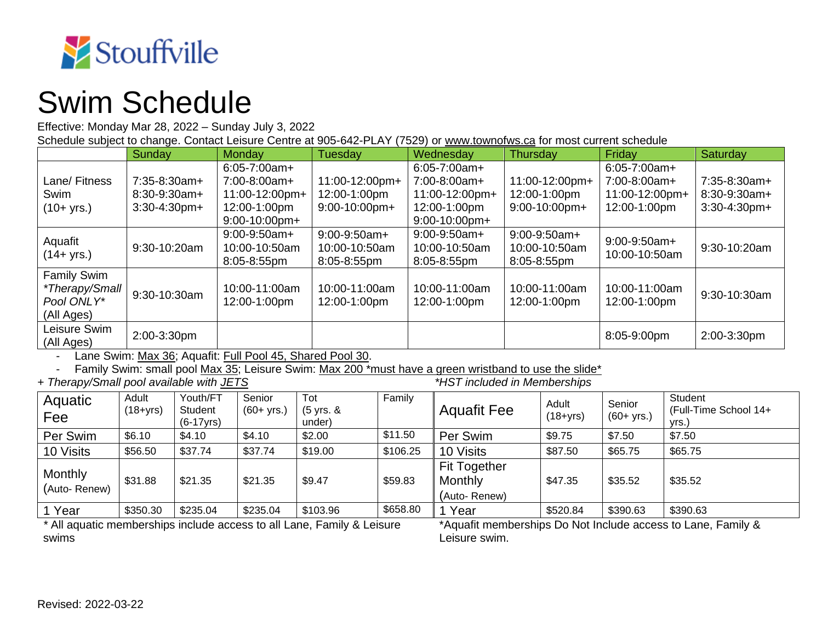

## Swim Schedule

Effective: Monday Mar 28, 2022 – Sunday July 3, 2022

Schedule subject to change. Contact Leisure Centre at 905-642-PLAY (7529) or [www.townofws.ca](http://www.townofws.ca/) for most current schedule

|                                                                  | Sunday                                              | Monday                                                                                  | Tuesday                                             | Wednesday                                                                               | Thursday                                           | Friday                                                              | Saturday                                          |
|------------------------------------------------------------------|-----------------------------------------------------|-----------------------------------------------------------------------------------------|-----------------------------------------------------|-----------------------------------------------------------------------------------------|----------------------------------------------------|---------------------------------------------------------------------|---------------------------------------------------|
| Lane/ Fitness<br>Swim<br>$(10 + yrs.)$                           | $7:35-8:30am+$<br>$8:30-9:30am+$<br>$3:30-4:30$ pm+ | $6:05 - 7:00am +$<br>7:00-8:00am+<br>11:00-12:00pm+<br>12:00-1:00pm<br>$9:00-10:00$ pm+ | 11:00-12:00pm+<br>12:00-1:00pm<br>$9:00-10:00$ pm+  | $6:05 - 7:00am +$<br>7:00-8:00am+<br>11:00-12:00pm+<br>12:00-1:00pm<br>$9:00-10:00$ pm+ | 11:00-12:00pm+<br>12:00-1:00pm<br>$9:00-10:00$ pm+ | $6:05 - 7:00am +$<br>7:00-8:00am+<br>11:00-12:00pm+<br>12:00-1:00pm | $7:35-8:30am+$<br>8:30-9:30am+<br>$3:30-4:30$ pm+ |
| Aquafit<br>(14+ yrs.)                                            | 9:30-10:20am                                        | $9:00-9:50am+$<br>10:00-10:50am<br>8:05-8:55pm                                          | $9:00-9:50am+$<br>10:00-10:50am<br>$8:05 - 8:55$ pm | $9:00-9:50am+$<br>10:00-10:50am<br>8:05-8:55pm                                          | $9:00-9:50am+$<br>10:00-10:50am<br>8:05-8:55pm     | $9:00-9:50am+$<br>10:00-10:50am                                     | 9:30-10:20am                                      |
| <b>Family Swim</b><br>*Therapy/Small<br>Pool ONLY*<br>(All Ages) | 9:30-10:30am                                        | 10:00-11:00am<br>12:00-1:00pm                                                           | 10:00-11:00am<br>12:00-1:00pm                       | 10:00-11:00am<br>12:00-1:00pm                                                           | 10:00-11:00am<br>12:00-1:00pm                      | 10:00-11:00am<br>12:00-1:00pm                                       | 9:30-10:30am                                      |
| Leisure Swim<br>(All Ages)                                       | 2:00-3:30pm                                         |                                                                                         |                                                     |                                                                                         |                                                    | 8:05-9:00pm                                                         | 2:00-3:30pm                                       |

- Lane Swim: Max 36; Aquafit: Full Pool 45, Shared Pool 30.

Family Swim: small pool Max 35; Leisure Swim: Max 200 \*must have a green wristband to use the slide \*<br>apy/Small pool available with JETS **and the slight of the slight of the slight** \*HST included in Memberships

+ Therapy/Small pool available with JETS

| Aquatic<br>Fee          | Adult<br>$(18 + yrs)$ | Youth/FT<br>Student<br>$(6-17$ yrs) | Senior<br>$(60 + yrs.)$ | Tot<br>(5 yrs. &<br>under) | Family   | <b>Aquafit Fee</b>                             | Adult<br>$(18+yrs)$ | Senior<br>$(60 + yrs.)$ | Student<br>(Full-Time School 14+<br>vrs.) |
|-------------------------|-----------------------|-------------------------------------|-------------------------|----------------------------|----------|------------------------------------------------|---------------------|-------------------------|-------------------------------------------|
| Per Swim                | \$6.10                | \$4.10                              | \$4.10                  | \$2.00                     | \$11.50  | Per Swim                                       | \$9.75              | \$7.50                  | \$7.50                                    |
| 10 Visits               | \$56.50               | \$37.74                             | \$37.74                 | \$19.00                    | \$106.25 | 10 Visits                                      | \$87.50             | \$65.75                 | \$65.75                                   |
| Monthly<br>(Auto-Renew) | \$31.88               | \$21.35                             | \$21.35                 | \$9.47                     | \$59.83  | <b>Fit Together</b><br>Monthly<br>(Auto-Renew) | \$47.35             | \$35.52                 | \$35.52                                   |
| 1 Year                  | \$350.30              | \$235.04                            | \$235.04                | \$103.96                   | \$658.80 | Year                                           | \$520.84            | \$390.63                | \$390.63                                  |

*\** All aquatic memberships include access to all Lane, Family & Leisure swims

\*Aquafit memberships Do Not Include access to Lane, Family & Leisure swim.